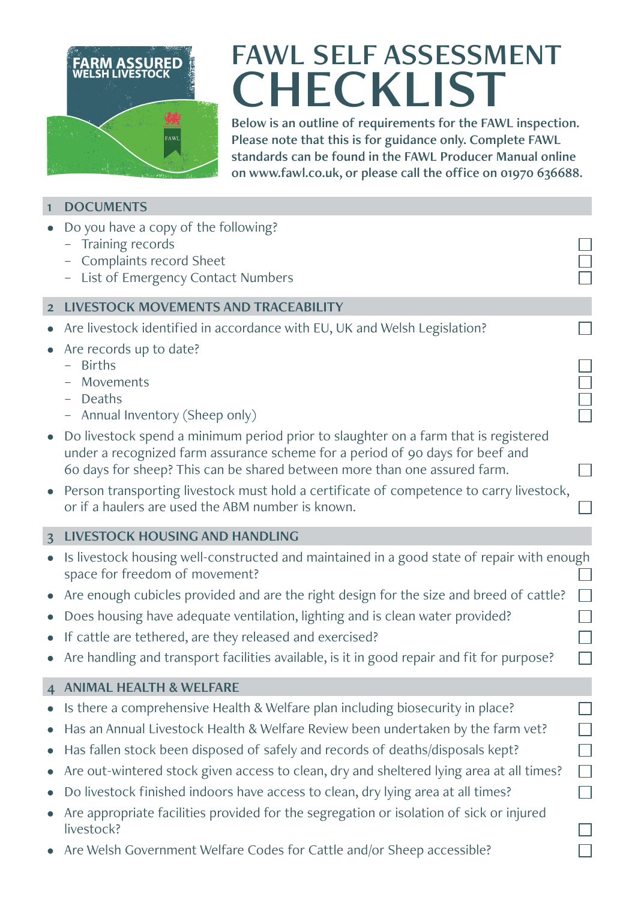

**DOCUMENTS** 

## FAWL SELF ASSESSMENT **CHECKLIST**

Below is an outline of requirements for the FAWL inspection. Please note that this is for guidance only. Complete FAWL standards can be found in the FAWL Producer Manual online on www.fawl.co.uk, or please call the office on 01970 636688.

|                                                               | <b>DUCUMENTS</b>                                                                                                                                                                                                                                                                                                                                                                                                                                                                                                                                                                                                        |  |
|---------------------------------------------------------------|-------------------------------------------------------------------------------------------------------------------------------------------------------------------------------------------------------------------------------------------------------------------------------------------------------------------------------------------------------------------------------------------------------------------------------------------------------------------------------------------------------------------------------------------------------------------------------------------------------------------------|--|
|                                                               | Do you have a copy of the following?<br>- Training records<br>- Complaints record Sheet<br>- List of Emergency Contact Numbers                                                                                                                                                                                                                                                                                                                                                                                                                                                                                          |  |
|                                                               | 2 LIVESTOCK MOVEMENTS AND TRACEABILITY                                                                                                                                                                                                                                                                                                                                                                                                                                                                                                                                                                                  |  |
|                                                               | Are livestock identified in accordance with EU, UK and Welsh Legislation?                                                                                                                                                                                                                                                                                                                                                                                                                                                                                                                                               |  |
| $\bullet$                                                     | Are records up to date?<br>$-$ Births<br>- Movements<br>- Deaths<br>- Annual Inventory (Sheep only)<br>Do livestock spend a minimum period prior to slaughter on a farm that is registered<br>under a recognized farm assurance scheme for a period of 90 days for beef and                                                                                                                                                                                                                                                                                                                                             |  |
|                                                               | 60 days for sheep? This can be shared between more than one assured farm.                                                                                                                                                                                                                                                                                                                                                                                                                                                                                                                                               |  |
|                                                               | Person transporting livestock must hold a certificate of competence to carry livestock,<br>or if a haulers are used the ABM number is known.                                                                                                                                                                                                                                                                                                                                                                                                                                                                            |  |
| 3                                                             | <b>LIVESTOCK HOUSING AND HANDLING</b>                                                                                                                                                                                                                                                                                                                                                                                                                                                                                                                                                                                   |  |
| $\bullet$                                                     | Is livestock housing well-constructed and maintained in a good state of repair with enough<br>space for freedom of movement?<br>Are enough cubicles provided and are the right design for the size and breed of cattle?<br>Does housing have adequate ventilation, lighting and is clean water provided?<br>If cattle are tethered, are they released and exercised?<br>Are handling and transport facilities available, is it in good repair and fit for purpose?                                                                                                                                                      |  |
| $\overline{4}$                                                | <b>ANIMAL HEALTH &amp; WELFARE</b>                                                                                                                                                                                                                                                                                                                                                                                                                                                                                                                                                                                      |  |
| $\bullet$<br>$\bullet$<br>$\bullet$<br>$\bullet$<br>$\bullet$ | Is there a comprehensive Health & Welfare plan including biosecurity in place?<br>Has an Annual Livestock Health & Welfare Review been undertaken by the farm vet?<br>Has fallen stock been disposed of safely and records of deaths/disposals kept?<br>Are out-wintered stock given access to clean, dry and sheltered lying area at all times?<br>Do livestock finished indoors have access to clean, dry lying area at all times?<br>Are appropriate facilities provided for the segregation or isolation of sick or injured<br>livestock?<br>Are Welsh Government Welfare Codes for Cattle and/or Sheep accessible? |  |
|                                                               |                                                                                                                                                                                                                                                                                                                                                                                                                                                                                                                                                                                                                         |  |